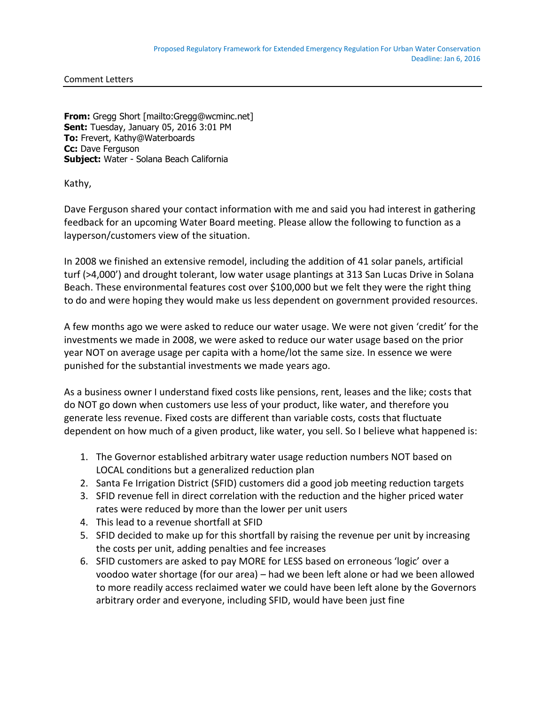Comment Letters

**From:** Gregg Short [mailto:Gregg@wcminc.net] **Sent:** Tuesday, January 05, 2016 3:01 PM **To:** Frevert, Kathy@Waterboards **Cc:** Dave Ferguson **Subject:** Water - Solana Beach California

Kathy,

Dave Ferguson shared your contact information with me and said you had interest in gathering feedback for an upcoming Water Board meeting. Please allow the following to function as a layperson/customers view of the situation.

In 2008 we finished an extensive remodel, including the addition of 41 solar panels, artificial turf (>4,000') and drought tolerant, low water usage plantings at 313 San Lucas Drive in Solana Beach. These environmental features cost over \$100,000 but we felt they were the right thing to do and were hoping they would make us less dependent on government provided resources.

A few months ago we were asked to reduce our water usage. We were not given 'credit' for the investments we made in 2008, we were asked to reduce our water usage based on the prior year NOT on average usage per capita with a home/lot the same size. In essence we were punished for the substantial investments we made years ago.

As a business owner I understand fixed costs like pensions, rent, leases and the like; costs that do NOT go down when customers use less of your product, like water, and therefore you generate less revenue. Fixed costs are different than variable costs, costs that fluctuate dependent on how much of a given product, like water, you sell. So I believe what happened is:

- 1. The Governor established arbitrary water usage reduction numbers NOT based on LOCAL conditions but a generalized reduction plan
- 2. Santa Fe Irrigation District (SFID) customers did a good job meeting reduction targets
- 3. SFID revenue fell in direct correlation with the reduction and the higher priced water rates were reduced by more than the lower per unit users
- 4. This lead to a revenue shortfall at SFID
- 5. SFID decided to make up for this shortfall by raising the revenue per unit by increasing the costs per unit, adding penalties and fee increases
- 6. SFID customers are asked to pay MORE for LESS based on erroneous 'logic' over a voodoo water shortage (for our area) – had we been left alone or had we been allowed to more readily access reclaimed water we could have been left alone by the Governors arbitrary order and everyone, including SFID, would have been just fine